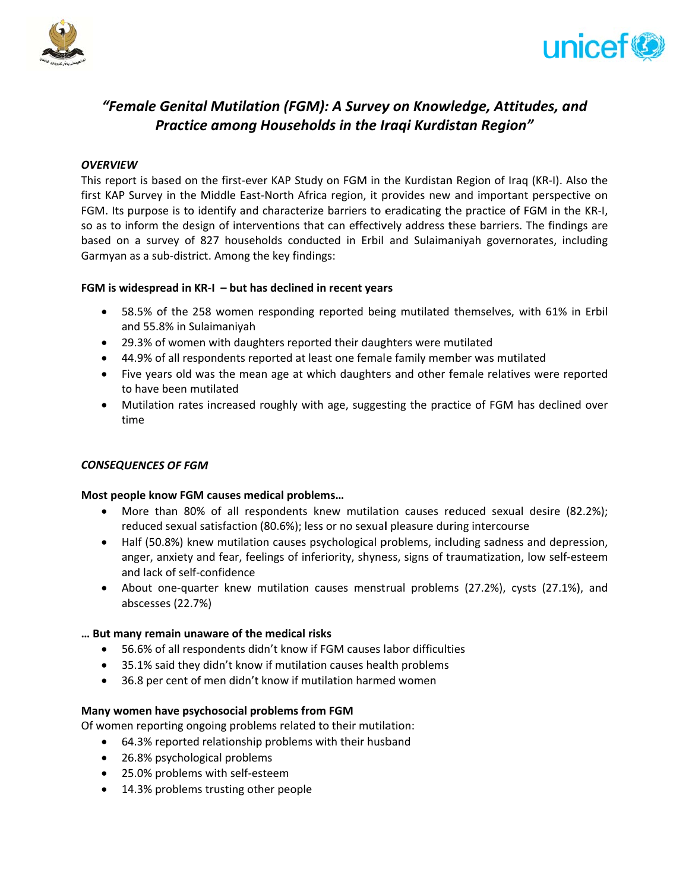



# "Female Genital Mutilation (FGM): A Survey on Knowledge, Attitudes, and Practice among Households in the Iraqi Kurdistan Region"

# **OVERVIEW**

This report is based on the first-ever KAP Study on FGM in the Kurdistan Region of Iraq (KR-I). Also the first KAP Survey in the Middle East-North Africa region, it provides new and important perspective on FGM. Its purpose is to identify and characterize barriers to eradicating the practice of FGM in the KR-I, so as to inform the design of interventions that can effectively address these barriers. The findings are based on a survey of 827 households conducted in Erbil and Sulaimaniyah governorates, including Garmyan as a sub-district. Among the key findings:

# FGM is widespread in  $KR-I - but$  has declined in recent years

- 58.5% of the 258 women responding reported being mutilated themselves, with 61% in Erbil and 55.8% in Sulaimaniyah
- 29.3% of women with daughters reported their daughters were mutilated
- 44.9% of all respondents reported at least one female family member was mutilated
- Five years old was the mean age at which daughters and other female relatives were reported to have been mutilated
- Mutilation rates increased roughly with age, suggesting the practice of FGM has declined over time

# **CONSEQUENCES OF FGM**

# Most people know FGM causes medical problems...

- More than 80% of all respondents knew mutilation causes reduced sexual desire (82.2%); reduced sexual satisfaction (80.6%); less or no sexual pleasure during intercourse
- Half (50.8%) knew mutilation causes psychological problems, including sadness and depression, anger, anxiety and fear, feelings of inferiority, shyness, signs of traumatization, low self-esteem and lack of self-confidence
- About one-quarter knew mutilation causes menstrual problems (27.2%), cysts (27.1%), and abscesses (22.7%)

# ... But many remain unaware of the medical risks

- 56.6% of all respondents didn't know if FGM causes labor difficulties
- 35.1% said they didn't know if mutilation causes health problems
- 36.8 per cent of men didn't know if mutilation harmed women

# Many women have psychosocial problems from FGM

Of women reporting ongoing problems related to their mutilation:

- 64.3% reported relationship problems with their husband
- 26.8% psychological problems
- 25.0% problems with self-esteem
- 14.3% problems trusting other people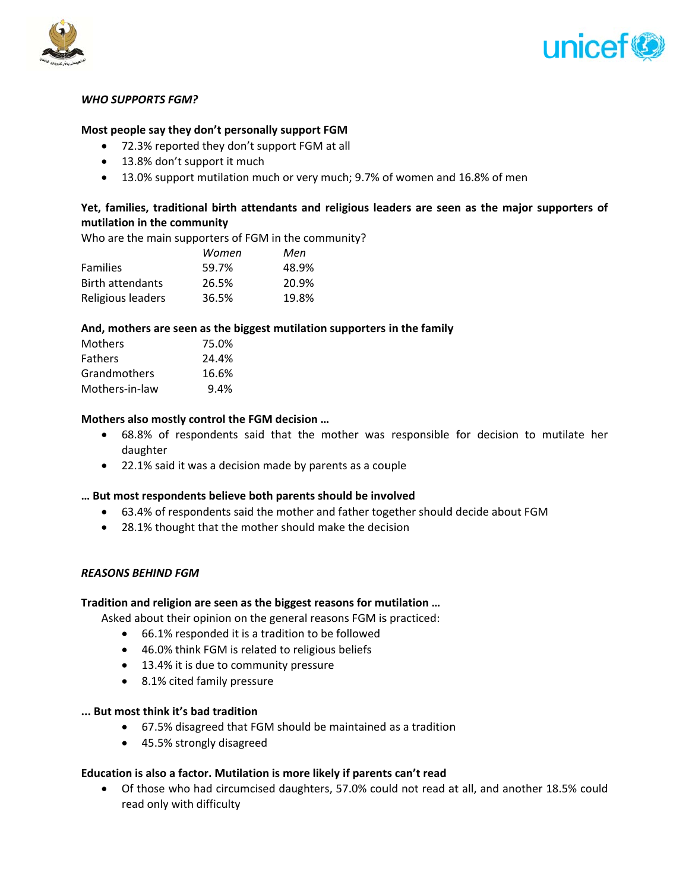



#### **WHO SUPPORTS FGM?**

## Most people say they don't personally support FGM

- 72.3% reported they don't support FGM at all
- 13.8% don't support it much
- 13.0% support mutilation much or very much; 9.7% of women and 16.8% of men

# Yet, families, traditional birth attendants and religious leaders are seen as the major supporters of mutilation in the community

Who are the main supporters of FGM in the community?

|                         | Women | Men   |
|-------------------------|-------|-------|
| <b>Families</b>         | 59.7% | 48.9% |
| <b>Birth attendants</b> | 26.5% | 20.9% |
| Religious leaders       | 36.5% | 19.8% |

## And, mothers are seen as the biggest mutilation supporters in the family

| <b>Mothers</b> | 75.0% |
|----------------|-------|
| <b>Fathers</b> | 24.4% |
| Grandmothers   | 16.6% |
| Mothers-in-law | 9.4%  |
|                |       |

## Mothers also mostly control the FGM decision ...

- 68.8% of respondents said that the mother was responsible for decision to mutilate her daughter
- 22.1% said it was a decision made by parents as a couple

#### ... But most respondents believe both parents should be involved

- 63.4% of respondents said the mother and father together should decide about FGM
- 28.1% thought that the mother should make the decision

#### **REASONS BEHIND FGM**

#### Tradition and religion are seen as the biggest reasons for mutilation ...

Asked about their opinion on the general reasons FGM is practiced:

- 66.1% responded it is a tradition to be followed
- 46.0% think FGM is related to religious beliefs
- 13.4% it is due to community pressure
- 8.1% cited family pressure

## ... But most think it's bad tradition

- 67.5% disagreed that FGM should be maintained as a tradition
- 45.5% strongly disagreed

# Education is also a factor. Mutilation is more likely if parents can't read

• Of those who had circumcised daughters, 57.0% could not read at all, and another 18.5% could read only with difficulty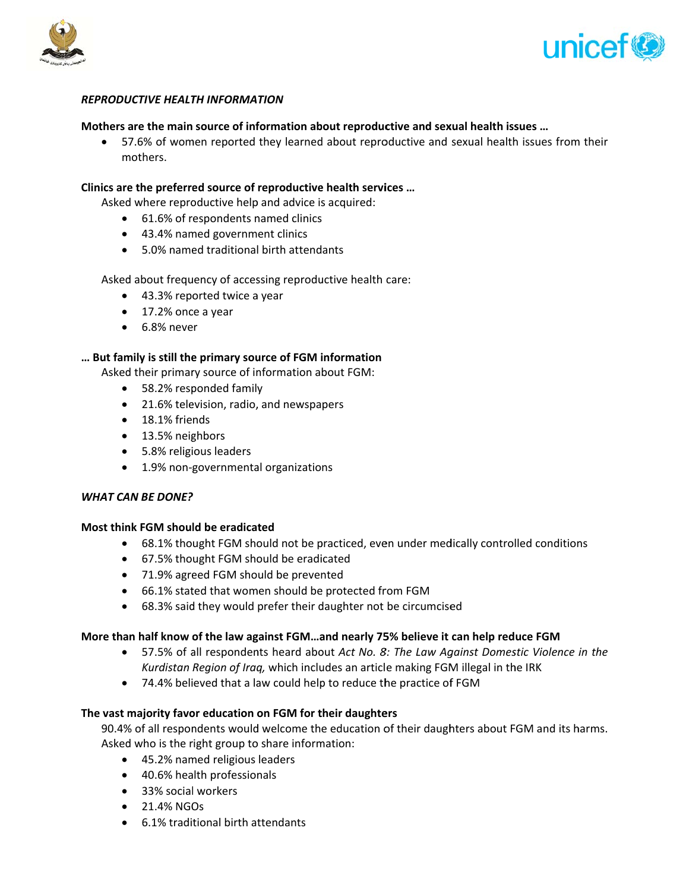



## **REPRODUCTIVE HEALTH INFORMATION**

#### Mothers are the main source of information about reproductive and sexual health issues ...

• 57.6% of women reported they learned about reproductive and sexual health issues from their mothers.

#### Clinics are the preferred source of reproductive health services ...

Asked where reproductive help and advice is acquired:

- 61.6% of respondents named clinics
- 43.4% named government clinics
- 5.0% named traditional birth attendants

Asked about frequency of accessing reproductive health care:

- 43.3% reported twice a year
- $\bullet$  17.2% once a year
- $\bullet$  6.8% never

#### ... But family is still the primary source of FGM information

Asked their primary source of information about FGM:

- 58.2% responded family
- 21.6% television, radio, and newspapers
- $\bullet$  18.1% friends
- 13.5% neighbors
- 5.8% religious leaders
- 1.9% non-governmental organizations

#### **WHAT CAN BE DONE?**

#### Most think FGM should be eradicated

- 68.1% thought FGM should not be practiced, even under medically controlled conditions
- 67.5% thought FGM should be eradicated
- 71.9% agreed FGM should be prevented
- 66.1% stated that women should be protected from FGM
- 68.3% said they would prefer their daughter not be circumcised

#### More than half know of the law against FGM...and nearly 75% believe it can help reduce FGM

- 57.5% of all respondents heard about Act No. 8: The Law Against Domestic Violence in the Kurdistan Region of Iraq, which includes an article making FGM illegal in the IRK
- 74.4% believed that a law could help to reduce the practice of FGM

#### The vast majority favor education on FGM for their daughters

90.4% of all respondents would welcome the education of their daughters about FGM and its harms. Asked who is the right group to share information:

- 45.2% named religious leaders
- 40.6% health professionals
- 33% social workers
- 21.4% NGOs
- 6.1% traditional birth attendants